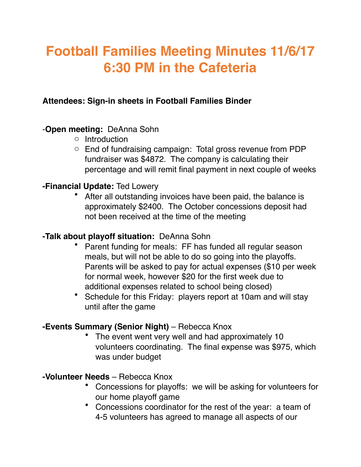# **Football Families Meeting Minutes 11/6/17 6:30 PM in the Cafeteria**

## **Attendees: Sign-in sheets in Football Families Binder**

# -**Open meeting:** DeAnna Sohn

- o Introduction
- o End of fundraising campaign: Total gross revenue from PDP fundraiser was \$4872. The company is calculating their percentage and will remit final payment in next couple of weeks

# **-Financial Update:** Ted Lowery

After all outstanding invoices have been paid, the balance is approximately \$2400. The October concessions deposit had not been received at the time of the meeting

## **-Talk about playoff situation:** DeAnna Sohn

- Parent funding for meals: FF has funded all regular season meals, but will not be able to do so going into the playoffs. Parents will be asked to pay for actual expenses (\$10 per week for normal week, however \$20 for the first week due to additional expenses related to school being closed)
- Schedule for this Friday: players report at 10am and will stay until after the game

#### **-Events Summary (Senior Night)** – Rebecca Knox

The event went very well and had approximately 10 volunteers coordinating. The final expense was \$975, which was under budget

# **-Volunteer Needs** – Rebecca Knox

- Concessions for playoffs: we will be asking for volunteers for our home playoff game
- Concessions coordinator for the rest of the year: a team of 4-5 volunteers has agreed to manage all aspects of our